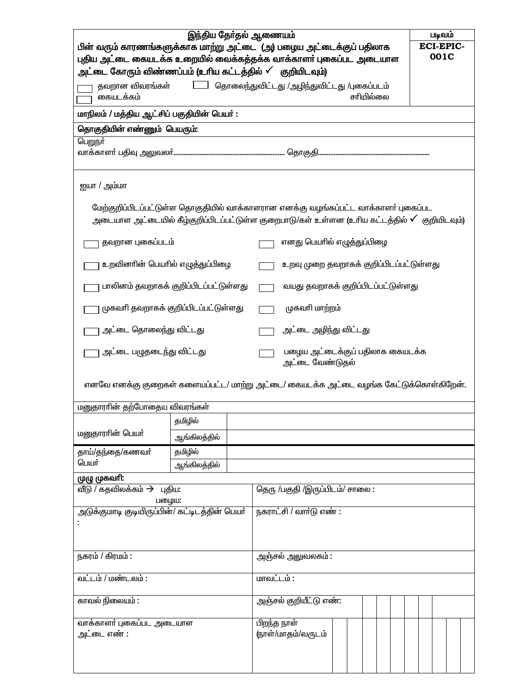| இந்திய தேர்தல் ஆணையம்<br>படிவம்<br>பின் வரும் காரணங்களுக்காக மாற்று அட்டை (அ) பழைய அட்டைக்குப் பதிலாக<br><b>ECI-EPIC-</b><br>001C<br>புதிய அட்டை கையடக்க உறையில் வைக்கத்தக்க வாக்காளர் புகைப்பட அடையாள<br>அட்டை கோரும் விண்ணப்பம் (உரிய கட்டத்தில் ✔ குறியிடவும்)<br>தவறான விவரங்கள்         தொலைந்துவிட்டது /அழிந்துவிட்டது /புகைப்படம்<br>சரியில்லை<br>கையடக்கம்<br>மாநிலம் / மத்திய ஆட்சிப் பகுதியின் பெயர்: |                                                    |  |                                |                        |  |  |  |  |  |  |  |  |  |  |
|-----------------------------------------------------------------------------------------------------------------------------------------------------------------------------------------------------------------------------------------------------------------------------------------------------------------------------------------------------------------------------------------------------------------|----------------------------------------------------|--|--------------------------------|------------------------|--|--|--|--|--|--|--|--|--|--|
| தொகுதியின் எண்ணும் பெயரும்:                                                                                                                                                                                                                                                                                                                                                                                     |                                                    |  |                                |                        |  |  |  |  |  |  |  |  |  |  |
| பெறுநர்                                                                                                                                                                                                                                                                                                                                                                                                         |                                                    |  |                                |                        |  |  |  |  |  |  |  |  |  |  |
| ஐயா / அம்மா                                                                                                                                                                                                                                                                                                                                                                                                     |                                                    |  |                                |                        |  |  |  |  |  |  |  |  |  |  |
| மேற்குறிப்பிடப்பட்டுள்ள தொகுதியில் வாக்காளரான எனக்கு வழங்கப்பட்ட வாக்காளர் புகைப்பட<br>அடையாள அட்டையில் கீழ்குறிப்பிடப்பட்டுள்ள குறைபாடு/கள் உள்ளன (உரிய கட்டத்தில் ✔ குறியிடவும்)                                                                                                                                                                                                                              |                                                    |  |                                |                        |  |  |  |  |  |  |  |  |  |  |
| தவறான புகைப்படம்                                                                                                                                                                                                                                                                                                                                                                                                | எனது பெயரில் எழுத்துப்பிழை                         |  |                                |                        |  |  |  |  |  |  |  |  |  |  |
| உறவினரின் பெயரில் எழுத்துப்பிழை                                                                                                                                                                                                                                                                                                                                                                                 | உறவு முறை தவறாகக் குறிப்பிடப்பட்டுள்ளது            |  |                                |                        |  |  |  |  |  |  |  |  |  |  |
| பாலினம் தவறாகக் குறிப்பிடப்பட்டுள்ளது                                                                                                                                                                                                                                                                                                                                                                           | வயது தவறாகக் குறிப்பிடப்பட்டுள்ளது                 |  |                                |                        |  |  |  |  |  |  |  |  |  |  |
| முகவரி தவறாகக் குறிப்பிடப்பட்டுள்ளது                                                                                                                                                                                                                                                                                                                                                                            | முகவரி மாற்றம்                                     |  |                                |                        |  |  |  |  |  |  |  |  |  |  |
| அட்டை தொலைந்து விட்டது                                                                                                                                                                                                                                                                                                                                                                                          |                                                    |  | அட்டை அழிந்து விட்டது          |                        |  |  |  |  |  |  |  |  |  |  |
| அட்டை பழுதடைந்து விட்டது                                                                                                                                                                                                                                                                                                                                                                                        | பழைய அட்டைக்குப் பதிலாக கையடக்க<br>அட்டை வேண்டுதல் |  |                                |                        |  |  |  |  |  |  |  |  |  |  |
| எனவே எனக்கு குறைகள் களையப்பட்ட/ மாற்று அட்டை/ கையடக்க அட்டை வழங்க கேட்டுக்கொள்கிறேன்.                                                                                                                                                                                                                                                                                                                           |                                                    |  |                                |                        |  |  |  |  |  |  |  |  |  |  |
| மனுதாராின் தற்போதைய விவரங்கள்                                                                                                                                                                                                                                                                                                                                                                                   |                                                    |  |                                |                        |  |  |  |  |  |  |  |  |  |  |
|                                                                                                                                                                                                                                                                                                                                                                                                                 | தமிழில்                                            |  |                                |                        |  |  |  |  |  |  |  |  |  |  |
| மனுதாரரின் பெயர்                                                                                                                                                                                                                                                                                                                                                                                                | ஆங்கிலத்தில்                                       |  |                                |                        |  |  |  |  |  |  |  |  |  |  |
| தாய்/தந்தை/கணவா்                                                                                                                                                                                                                                                                                                                                                                                                | தமிழில்                                            |  |                                |                        |  |  |  |  |  |  |  |  |  |  |
| பெயர்<br>ஆங்கிலத்தில்                                                                                                                                                                                                                                                                                                                                                                                           |                                                    |  |                                |                        |  |  |  |  |  |  |  |  |  |  |
| முழு முகவாி:<br>வீடு / கதவிலக்கம் $\rightarrow$ புதிய:<br>பழைய:                                                                                                                                                                                                                                                                                                                                                 |                                                    |  | தெரு /பகுதி /இருப்பிடம்/ சாலை: |                        |  |  |  |  |  |  |  |  |  |  |
| அடுக்குமாடி குடியிருப்பின்/ கட்டிடத்தின் பெயர்                                                                                                                                                                                                                                                                                                                                                                  |                                                    |  | நகராட்சி / வார்டு எண் :        |                        |  |  |  |  |  |  |  |  |  |  |
| நகரம் / கிரமம் :                                                                                                                                                                                                                                                                                                                                                                                                |                                                    |  | அஞ்சல் <u>அலுவலகம் :</u>       |                        |  |  |  |  |  |  |  |  |  |  |
| வட்டம் / மண்டலம் :                                                                                                                                                                                                                                                                                                                                                                                              |                                                    |  | மாவட்டம் :                     |                        |  |  |  |  |  |  |  |  |  |  |
| காவல் நிலையம் :                                                                                                                                                                                                                                                                                                                                                                                                 |                                                    |  |                                | அஞ்சல் குறியீட்டு எண்: |  |  |  |  |  |  |  |  |  |  |
| வாக்காளர் புகைப்பட அடையாள<br>அட்டை எண் :                                                                                                                                                                                                                                                                                                                                                                        |                                                    |  | பிறந்த நாள்                    | (நாள்/மாதம்/வருடம்     |  |  |  |  |  |  |  |  |  |  |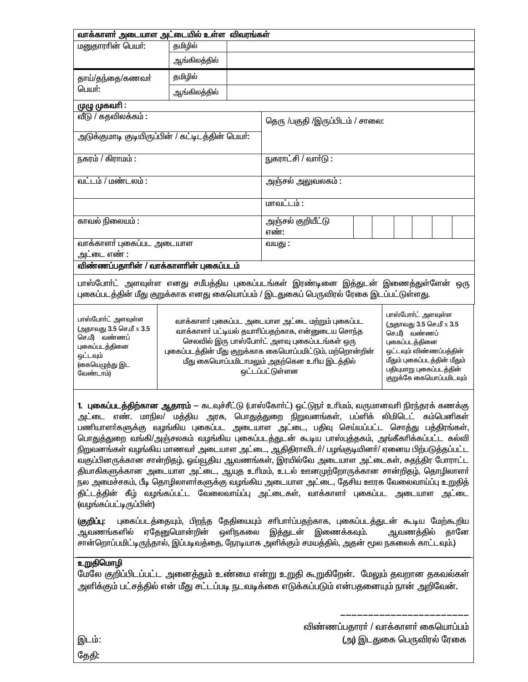| வாக்காளர் அடையாள அட்டையில் உள்ள விவரங்கள்                                                                                   |                                 |                                                                                                                                                                                                                                                                                                                                                                                                                                                                                              |                                                                                                                                                                                                                                                                                                                                                                                                                                                                                                                                                                                                                                                                                                                                                                                                                                                                                                                                                                                                                                                                                                                                     |  |  |  |  |  |  |  |
|-----------------------------------------------------------------------------------------------------------------------------|---------------------------------|----------------------------------------------------------------------------------------------------------------------------------------------------------------------------------------------------------------------------------------------------------------------------------------------------------------------------------------------------------------------------------------------------------------------------------------------------------------------------------------------|-------------------------------------------------------------------------------------------------------------------------------------------------------------------------------------------------------------------------------------------------------------------------------------------------------------------------------------------------------------------------------------------------------------------------------------------------------------------------------------------------------------------------------------------------------------------------------------------------------------------------------------------------------------------------------------------------------------------------------------------------------------------------------------------------------------------------------------------------------------------------------------------------------------------------------------------------------------------------------------------------------------------------------------------------------------------------------------------------------------------------------------|--|--|--|--|--|--|--|
| மனுதாரரின் பெயர்:                                                                                                           | தமிழில்                         |                                                                                                                                                                                                                                                                                                                                                                                                                                                                                              |                                                                                                                                                                                                                                                                                                                                                                                                                                                                                                                                                                                                                                                                                                                                                                                                                                                                                                                                                                                                                                                                                                                                     |  |  |  |  |  |  |  |
|                                                                                                                             | ஆங்கிலத்தில்                    |                                                                                                                                                                                                                                                                                                                                                                                                                                                                                              |                                                                                                                                                                                                                                                                                                                                                                                                                                                                                                                                                                                                                                                                                                                                                                                                                                                                                                                                                                                                                                                                                                                                     |  |  |  |  |  |  |  |
| தாய்/தந்தை/கணவா்                                                                                                            | தமிழில்                         |                                                                                                                                                                                                                                                                                                                                                                                                                                                                                              |                                                                                                                                                                                                                                                                                                                                                                                                                                                                                                                                                                                                                                                                                                                                                                                                                                                                                                                                                                                                                                                                                                                                     |  |  |  |  |  |  |  |
| பெயர்:                                                                                                                      | ஆங்கிலத்தில்                    |                                                                                                                                                                                                                                                                                                                                                                                                                                                                                              |                                                                                                                                                                                                                                                                                                                                                                                                                                                                                                                                                                                                                                                                                                                                                                                                                                                                                                                                                                                                                                                                                                                                     |  |  |  |  |  |  |  |
| முழு முகவரி :                                                                                                               |                                 |                                                                                                                                                                                                                                                                                                                                                                                                                                                                                              |                                                                                                                                                                                                                                                                                                                                                                                                                                                                                                                                                                                                                                                                                                                                                                                                                                                                                                                                                                                                                                                                                                                                     |  |  |  |  |  |  |  |
| வீடு / கதவிலக்கம்:                                                                                                          | தெரு /பகுதி /இருப்பிடம் / சாலை: |                                                                                                                                                                                                                                                                                                                                                                                                                                                                                              |                                                                                                                                                                                                                                                                                                                                                                                                                                                                                                                                                                                                                                                                                                                                                                                                                                                                                                                                                                                                                                                                                                                                     |  |  |  |  |  |  |  |
| அடுக்குமாடி குடியிருப்பின் / கட்டிடத்தின் பெயர்:                                                                            |                                 |                                                                                                                                                                                                                                                                                                                                                                                                                                                                                              |                                                                                                                                                                                                                                                                                                                                                                                                                                                                                                                                                                                                                                                                                                                                                                                                                                                                                                                                                                                                                                                                                                                                     |  |  |  |  |  |  |  |
|                                                                                                                             |                                 |                                                                                                                                                                                                                                                                                                                                                                                                                                                                                              |                                                                                                                                                                                                                                                                                                                                                                                                                                                                                                                                                                                                                                                                                                                                                                                                                                                                                                                                                                                                                                                                                                                                     |  |  |  |  |  |  |  |
| நகரம் / கிராமம் :                                                                                                           |                                 |                                                                                                                                                                                                                                                                                                                                                                                                                                                                                              | நுகராட்சி / வார்டு :                                                                                                                                                                                                                                                                                                                                                                                                                                                                                                                                                                                                                                                                                                                                                                                                                                                                                                                                                                                                                                                                                                                |  |  |  |  |  |  |  |
| வட்டம் / மண்டலம் :                                                                                                          | அஞ்சல் அலுவலகம் :               |                                                                                                                                                                                                                                                                                                                                                                                                                                                                                              |                                                                                                                                                                                                                                                                                                                                                                                                                                                                                                                                                                                                                                                                                                                                                                                                                                                                                                                                                                                                                                                                                                                                     |  |  |  |  |  |  |  |
|                                                                                                                             |                                 | மாவட்டம் :                                                                                                                                                                                                                                                                                                                                                                                                                                                                                   |                                                                                                                                                                                                                                                                                                                                                                                                                                                                                                                                                                                                                                                                                                                                                                                                                                                                                                                                                                                                                                                                                                                                     |  |  |  |  |  |  |  |
| காவல் நிலையம் :                                                                                                             |                                 |                                                                                                                                                                                                                                                                                                                                                                                                                                                                                              |                                                                                                                                                                                                                                                                                                                                                                                                                                                                                                                                                                                                                                                                                                                                                                                                                                                                                                                                                                                                                                                                                                                                     |  |  |  |  |  |  |  |
|                                                                                                                             |                                 |                                                                                                                                                                                                                                                                                                                                                                                                                                                                                              | எண்:                                                                                                                                                                                                                                                                                                                                                                                                                                                                                                                                                                                                                                                                                                                                                                                                                                                                                                                                                                                                                                                                                                                                |  |  |  |  |  |  |  |
| வாக்காளர் புகைப்பட அடையாள<br>அட்டை எண் :                                                                                    |                                 |                                                                                                                                                                                                                                                                                                                                                                                                                                                                                              | வயது:                                                                                                                                                                                                                                                                                                                                                                                                                                                                                                                                                                                                                                                                                                                                                                                                                                                                                                                                                                                                                                                                                                                               |  |  |  |  |  |  |  |
| விண்ணப்பதாரின் / வாக்காளரின் புகைப்படம்                                                                                     |                                 |                                                                                                                                                                                                                                                                                                                                                                                                                                                                                              |                                                                                                                                                                                                                                                                                                                                                                                                                                                                                                                                                                                                                                                                                                                                                                                                                                                                                                                                                                                                                                                                                                                                     |  |  |  |  |  |  |  |
| பாஸ்போர்ட் அளவுள்ள<br>(அதாவது 3.5 செ.மீ x 3.5<br>செ.மீ) வண்ணப்<br>புகைப்படத்தினை<br>ஒட்டவும்<br>(கையெழுத்து இட<br>வேண்டாம்) |                                 | பாஸ்போர்ட் அளவுள்ள<br>வாக்காளர் புகைப்பட அடையாள அட்டை மற்றும் புகைப்பட<br>(அதாவது 3.5 செ.மீ x 3.5<br>வாக்காளா் பட்டியல் தயாாிப்பதற்காக, என்னுடைய சொந்த<br>செ.மீ) வண்ணப்<br>செலவில் இரு பாஸ்போர்ட் அளவு புகைப்படங்கள் ஒரு<br>புகைப்படத்தினை<br>புகைப்படத்தின் மீது குறுக்காக கையொப்பமிட்டும், மற்றொன்றின்<br>ஒட்டவும் விண்ணப்பத்தின்<br>மீதும் புகைப்படத்தின் மீதும்<br>மீது கையொப்பமிடாமலும் அதற்கென உரிய இடத்தில்<br>பதியுமாறு புகைப்படத்தின்<br>ஒட்டப்பட்டுள்ளன<br>குறுக்கே கையொப்பமிடவும் |                                                                                                                                                                                                                                                                                                                                                                                                                                                                                                                                                                                                                                                                                                                                                                                                                                                                                                                                                                                                                                                                                                                                     |  |  |  |  |  |  |  |
| (வழங்கப்பட்டிருப்பின்)<br>(குறிப்பு:                                                                                        |                                 |                                                                                                                                                                                                                                                                                                                                                                                                                                                                                              | <b>1. புகைப்படத்திற்கான ஆதாரம்</b> — கடவுச்சீட்டு (பாஸ்கோர்ட்) ஒட்டுநர் உரிமம், வருமானவரி நிரந்தரக் கணக்கு<br>அட்டை எண். மாநில/ மத்திய அரசு, பொதுத்துறை நிறுவனங்கள், பப்ளிக் லிமிடெட் கம்பெனிகள்<br>பணியாளா்களுக்கு வழங்கிய புகைப்பட அடையாள அட்டை, பதிவு செய்யப்பட்ட சொத்து பத்திரங்கள்,<br>பொதுத்துறை வங்கி/அஞ்சலகம் வழங்கிய புகைப்படத்துடன் கூடிய பாஸ்புத்தகம், அங்கீகாிக்கப்பட்ட கல்வி<br>நிறுவனங்கள் வழங்கிய மாணவர் அடையாள அட்டை, ஆதிதிராவிடர்/ பழங்குடியினர்/ ஏனைய பிற்படுத்தப்பட்ட<br>வகுப்பினருக்கான சான்றிதழ், ஓய்வூதிய ஆவணங்கள், இரயில்வே அடையாள அட்டைகள், சுதந்திர போராட்ட<br>தியாகிகளுக்கான அடையாள அட்டை, ஆயுத உரிமம், உடல் ஊனமுற்றோருக்கான சான்றிதழ், தொழிலாளா்<br>நல அமைச்சகம், பீடி தொழிலாளா்களுக்கு வழங்கிய அடையாள அட்டை, தேசிய ஊரக வேலைவாய்ப்பு உறுதித்<br>திட்டத்தின் கீழ் வழங்கப்பட்ட வேலைவாய்ப்பு அட்டைகள், வாக்காளர் புகைப்பட அடையாள அட்டை<br>புகைப்படத்தையும், பிறந்த தேதியையும் சாிபாா்ப்பதற்காக, புகைப்படத்துடன் கூடிய மேற்கூறிய<br>ஆவணங்களில் ஏதேனுமொன்றின் ஒளிநகலை இத்துடன் இணைக்கவும்.  ஆவணத்தில் தானே<br>சான்றொப்பமிட்டிருந்தால், இப்படிவத்தை, நேரடியாக அளிக்கும் சமயத்தில், அதன் மூல நகலைக் காட்டவும்.) |  |  |  |  |  |  |  |
| <u>உறுதிமொழி</u>                                                                                                            |                                 |                                                                                                                                                                                                                                                                                                                                                                                                                                                                                              | மேலே குறிப்பிடப்பட்ட அனைத்தும் உண்மை என்று உறுதி கூறுகிறேன்.  மேலும் தவறான தகவல்கள்<br>அளிக்கும் பட்சத்தில் என் மீது சட்டப்படி நடவடிக்கை எடுக்கப்படும் என்பதனையும் நான் அறிவேன்.                                                                                                                                                                                                                                                                                                                                                                                                                                                                                                                                                                                                                                                                                                                                                                                                                                                                                                                                                    |  |  |  |  |  |  |  |

விண்ணப்பதாரா் / வாக்காளா் கையொப்பம் (அ) இடதுகை பெருவிரல் ரேகை

இடம்: <u>தேதி:</u>